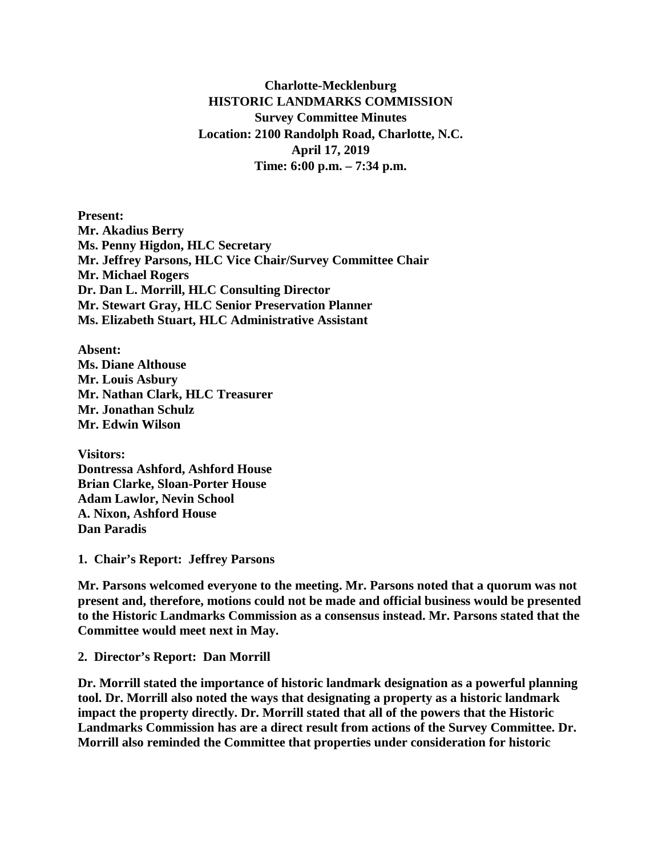**Charlotte-Mecklenburg HISTORIC LANDMARKS COMMISSION Survey Committee Minutes Location: 2100 Randolph Road, Charlotte, N.C. April 17, 2019 Time: 6:00 p.m. – 7:34 p.m.**

**Present: Mr. Akadius Berry Ms. Penny Higdon, HLC Secretary Mr. Jeffrey Parsons, HLC Vice Chair/Survey Committee Chair Mr. Michael Rogers Dr. Dan L. Morrill, HLC Consulting Director Mr. Stewart Gray, HLC Senior Preservation Planner Ms. Elizabeth Stuart, HLC Administrative Assistant**

**Absent: Ms. Diane Althouse Mr. Louis Asbury Mr. Nathan Clark, HLC Treasurer Mr. Jonathan Schulz Mr. Edwin Wilson**

**Visitors: Dontressa Ashford, Ashford House Brian Clarke, Sloan-Porter House Adam Lawlor, Nevin School A. Nixon, Ashford House Dan Paradis**

**1. Chair's Report: Jeffrey Parsons**

**Mr. Parsons welcomed everyone to the meeting. Mr. Parsons noted that a quorum was not present and, therefore, motions could not be made and official business would be presented to the Historic Landmarks Commission as a consensus instead. Mr. Parsons stated that the Committee would meet next in May.** 

**2. Director's Report: Dan Morrill**

**Dr. Morrill stated the importance of historic landmark designation as a powerful planning tool. Dr. Morrill also noted the ways that designating a property as a historic landmark impact the property directly. Dr. Morrill stated that all of the powers that the Historic Landmarks Commission has are a direct result from actions of the Survey Committee. Dr. Morrill also reminded the Committee that properties under consideration for historic**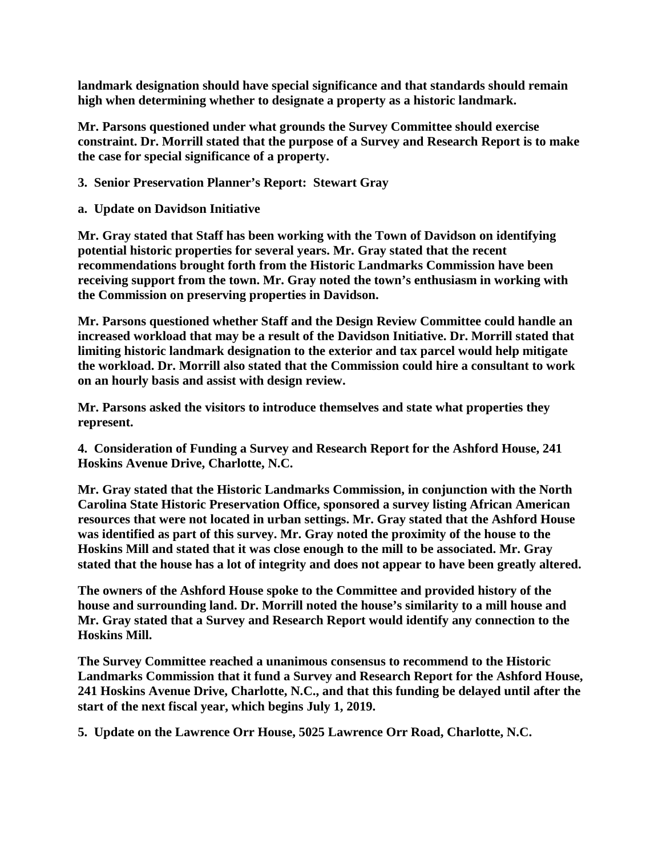**landmark designation should have special significance and that standards should remain high when determining whether to designate a property as a historic landmark.** 

**Mr. Parsons questioned under what grounds the Survey Committee should exercise constraint. Dr. Morrill stated that the purpose of a Survey and Research Report is to make the case for special significance of a property.** 

- **3. Senior Preservation Planner's Report: Stewart Gray**
- **a. Update on Davidson Initiative**

**Mr. Gray stated that Staff has been working with the Town of Davidson on identifying potential historic properties for several years. Mr. Gray stated that the recent recommendations brought forth from the Historic Landmarks Commission have been receiving support from the town. Mr. Gray noted the town's enthusiasm in working with the Commission on preserving properties in Davidson.** 

**Mr. Parsons questioned whether Staff and the Design Review Committee could handle an increased workload that may be a result of the Davidson Initiative. Dr. Morrill stated that limiting historic landmark designation to the exterior and tax parcel would help mitigate the workload. Dr. Morrill also stated that the Commission could hire a consultant to work on an hourly basis and assist with design review.** 

**Mr. Parsons asked the visitors to introduce themselves and state what properties they represent.** 

**4. Consideration of Funding a Survey and Research Report for the Ashford House, 241 Hoskins Avenue Drive, Charlotte, N.C.**

**Mr. Gray stated that the Historic Landmarks Commission, in conjunction with the North Carolina State Historic Preservation Office, sponsored a survey listing African American resources that were not located in urban settings. Mr. Gray stated that the Ashford House was identified as part of this survey. Mr. Gray noted the proximity of the house to the Hoskins Mill and stated that it was close enough to the mill to be associated. Mr. Gray stated that the house has a lot of integrity and does not appear to have been greatly altered.** 

**The owners of the Ashford House spoke to the Committee and provided history of the house and surrounding land. Dr. Morrill noted the house's similarity to a mill house and Mr. Gray stated that a Survey and Research Report would identify any connection to the Hoskins Mill.** 

**The Survey Committee reached a unanimous consensus to recommend to the Historic Landmarks Commission that it fund a Survey and Research Report for the Ashford House, 241 Hoskins Avenue Drive, Charlotte, N.C., and that this funding be delayed until after the start of the next fiscal year, which begins July 1, 2019.** 

**5. Update on the Lawrence Orr House, 5025 Lawrence Orr Road, Charlotte, N.C.**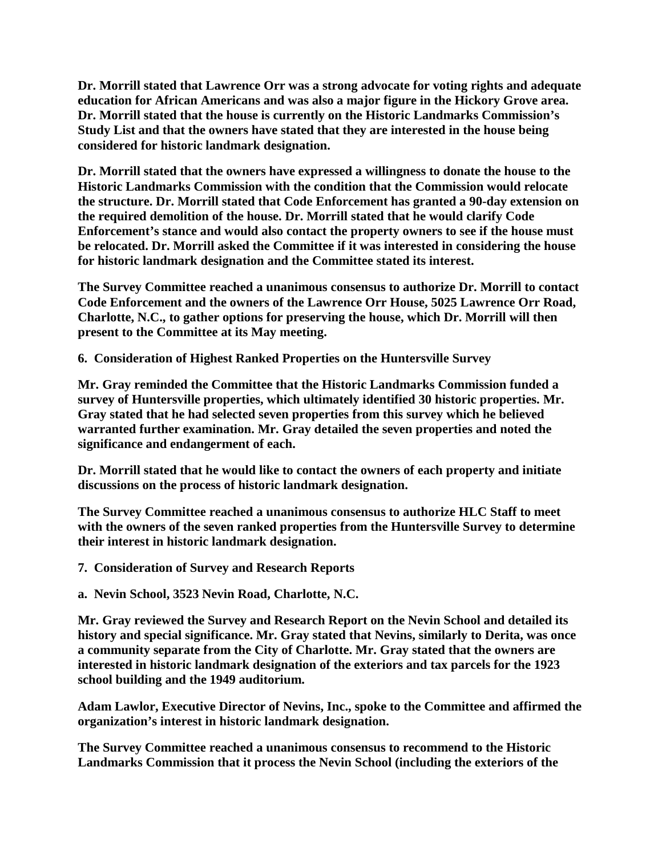**Dr. Morrill stated that Lawrence Orr was a strong advocate for voting rights and adequate education for African Americans and was also a major figure in the Hickory Grove area. Dr. Morrill stated that the house is currently on the Historic Landmarks Commission's Study List and that the owners have stated that they are interested in the house being considered for historic landmark designation.** 

**Dr. Morrill stated that the owners have expressed a willingness to donate the house to the Historic Landmarks Commission with the condition that the Commission would relocate the structure. Dr. Morrill stated that Code Enforcement has granted a 90-day extension on the required demolition of the house. Dr. Morrill stated that he would clarify Code Enforcement's stance and would also contact the property owners to see if the house must be relocated. Dr. Morrill asked the Committee if it was interested in considering the house for historic landmark designation and the Committee stated its interest.**

**The Survey Committee reached a unanimous consensus to authorize Dr. Morrill to contact Code Enforcement and the owners of the Lawrence Orr House, 5025 Lawrence Orr Road, Charlotte, N.C., to gather options for preserving the house, which Dr. Morrill will then present to the Committee at its May meeting.**

**6. Consideration of Highest Ranked Properties on the Huntersville Survey**

**Mr. Gray reminded the Committee that the Historic Landmarks Commission funded a survey of Huntersville properties, which ultimately identified 30 historic properties. Mr. Gray stated that he had selected seven properties from this survey which he believed warranted further examination. Mr. Gray detailed the seven properties and noted the significance and endangerment of each.** 

**Dr. Morrill stated that he would like to contact the owners of each property and initiate discussions on the process of historic landmark designation.** 

**The Survey Committee reached a unanimous consensus to authorize HLC Staff to meet with the owners of the seven ranked properties from the Huntersville Survey to determine their interest in historic landmark designation.**

**7. Consideration of Survey and Research Reports**

**a. Nevin School, 3523 Nevin Road, Charlotte, N.C.**

**Mr. Gray reviewed the Survey and Research Report on the Nevin School and detailed its history and special significance. Mr. Gray stated that Nevins, similarly to Derita, was once a community separate from the City of Charlotte. Mr. Gray stated that the owners are interested in historic landmark designation of the exteriors and tax parcels for the 1923 school building and the 1949 auditorium.** 

**Adam Lawlor, Executive Director of Nevins, Inc., spoke to the Committee and affirmed the organization's interest in historic landmark designation.** 

**The Survey Committee reached a unanimous consensus to recommend to the Historic Landmarks Commission that it process the Nevin School (including the exteriors of the**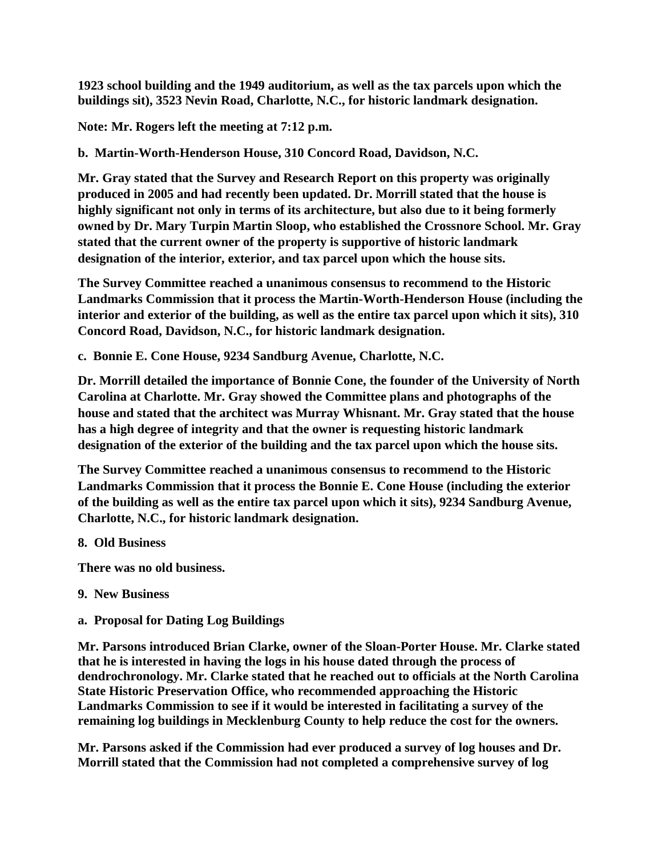**1923 school building and the 1949 auditorium, as well as the tax parcels upon which the buildings sit), 3523 Nevin Road, Charlotte, N.C., for historic landmark designation.**

**Note: Mr. Rogers left the meeting at 7:12 p.m.**

**b. Martin-Worth-Henderson House, 310 Concord Road, Davidson, N.C.** 

**Mr. Gray stated that the Survey and Research Report on this property was originally produced in 2005 and had recently been updated. Dr. Morrill stated that the house is highly significant not only in terms of its architecture, but also due to it being formerly owned by Dr. Mary Turpin Martin Sloop, who established the Crossnore School. Mr. Gray stated that the current owner of the property is supportive of historic landmark designation of the interior, exterior, and tax parcel upon which the house sits.**

**The Survey Committee reached a unanimous consensus to recommend to the Historic Landmarks Commission that it process the Martin-Worth-Henderson House (including the interior and exterior of the building, as well as the entire tax parcel upon which it sits), 310 Concord Road, Davidson, N.C., for historic landmark designation.** 

**c. Bonnie E. Cone House, 9234 Sandburg Avenue, Charlotte, N.C.**

**Dr. Morrill detailed the importance of Bonnie Cone, the founder of the University of North Carolina at Charlotte. Mr. Gray showed the Committee plans and photographs of the house and stated that the architect was Murray Whisnant. Mr. Gray stated that the house has a high degree of integrity and that the owner is requesting historic landmark designation of the exterior of the building and the tax parcel upon which the house sits.**

**The Survey Committee reached a unanimous consensus to recommend to the Historic Landmarks Commission that it process the Bonnie E. Cone House (including the exterior of the building as well as the entire tax parcel upon which it sits), 9234 Sandburg Avenue, Charlotte, N.C., for historic landmark designation.** 

**8. Old Business**

**There was no old business.** 

- **9. New Business**
- **a. Proposal for Dating Log Buildings**

**Mr. Parsons introduced Brian Clarke, owner of the Sloan-Porter House. Mr. Clarke stated that he is interested in having the logs in his house dated through the process of dendrochronology. Mr. Clarke stated that he reached out to officials at the North Carolina State Historic Preservation Office, who recommended approaching the Historic Landmarks Commission to see if it would be interested in facilitating a survey of the remaining log buildings in Mecklenburg County to help reduce the cost for the owners.** 

**Mr. Parsons asked if the Commission had ever produced a survey of log houses and Dr. Morrill stated that the Commission had not completed a comprehensive survey of log**